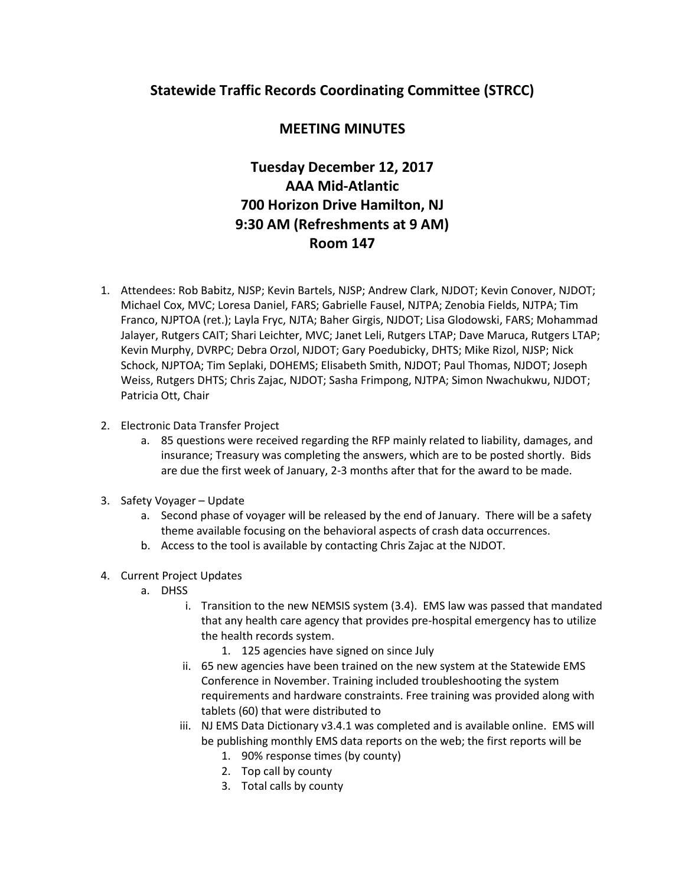## **Statewide Traffic Records Coordinating Committee (STRCC)**

## **MEETING MINUTES**

## **Tuesday December 12, 2017 AAA Mid-Atlantic 700 Horizon Drive Hamilton, NJ 9:30 AM (Refreshments at 9 AM) Room 147**

- 1. Attendees: Rob Babitz, NJSP; Kevin Bartels, NJSP; Andrew Clark, NJDOT; Kevin Conover, NJDOT; Michael Cox, MVC; Loresa Daniel, FARS; Gabrielle Fausel, NJTPA; Zenobia Fields, NJTPA; Tim Franco, NJPTOA (ret.); Layla Fryc, NJTA; Baher Girgis, NJDOT; Lisa Glodowski, FARS; Mohammad Jalayer, Rutgers CAIT; Shari Leichter, MVC; Janet Leli, Rutgers LTAP; Dave Maruca, Rutgers LTAP; Kevin Murphy, DVRPC; Debra Orzol, NJDOT; Gary Poedubicky, DHTS; Mike Rizol, NJSP; Nick Schock, NJPTOA; Tim Seplaki, DOHEMS; Elisabeth Smith, NJDOT; Paul Thomas, NJDOT; Joseph Weiss, Rutgers DHTS; Chris Zajac, NJDOT; Sasha Frimpong, NJTPA; Simon Nwachukwu, NJDOT; Patricia Ott, Chair
- 2. Electronic Data Transfer Project
	- a. 85 questions were received regarding the RFP mainly related to liability, damages, and insurance; Treasury was completing the answers, which are to be posted shortly. Bids are due the first week of January, 2-3 months after that for the award to be made.
- 3. Safety Voyager Update
	- a. Second phase of voyager will be released by the end of January. There will be a safety theme available focusing on the behavioral aspects of crash data occurrences.
	- b. Access to the tool is available by contacting Chris Zajac at the NJDOT.
- 4. Current Project Updates
	- a. DHSS
		- i. Transition to the new NEMSIS system (3.4). EMS law was passed that mandated that any health care agency that provides pre-hospital emergency has to utilize the health records system.
			- 1. 125 agencies have signed on since July
		- ii. 65 new agencies have been trained on the new system at the Statewide EMS Conference in November. Training included troubleshooting the system requirements and hardware constraints. Free training was provided along with tablets (60) that were distributed to
		- iii. NJ EMS Data Dictionary v3.4.1 was completed and is available online. EMS will be publishing monthly EMS data reports on the web; the first reports will be
			- 1. 90% response times (by county)
			- 2. Top call by county
			- 3. Total calls by county